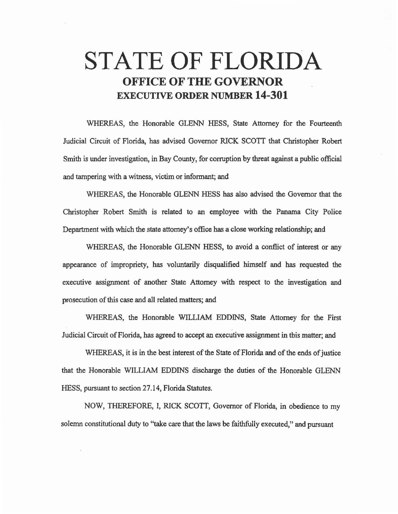# STATE OF FLORIDA OFFICE OF THE GOVERNOR EXECUTIVE ORDER NUMBER 14-301

WHEREAS, the Honorable GLENN HESS, State Attorney for the Fourteenth Judicial Circuit of Florida, has advised Governor RICK SCOTI that Christopher Robert Smith is under investigation, in Bay County, for corruption by threat against a public official and tampering with a witness, victim or informant; and

WHEREAS, the Honorable GLENN HESS has also advised the Governor that the Christopher Robert Smith is related to an employee with the Panama City Police Department with which the state attorney's office has a close working relationship; and

WHEREAS, the Honorable GLENN HESS, to avoid a conflict of interest or any appearance of impropriety, has voluntarily disqualified himself and has requested the executive assignment of another State Attorney with respect to the investigation and prosecution of this case and all related matters; and

WHEREAS, the Honorable WILLIAM EDDINS, State Attorney for the First Judicial Circuit of Florida, has agreed to accept an executive assignment in this matter; and

WHEREAS, it is in the best interest of the State of Florida and of the ends of justice that the Honorable WILLIAM EDDINS discharge the duties of the Honorable GLENN HESS, pursuant to section 27.14, Florida Statutes.

NOW, THEREFORE, I, RICK SCOTI, Governor of Florida, in obedience to my solemn constitutional duty to "take care that the laws be faithfully executed," and pursuant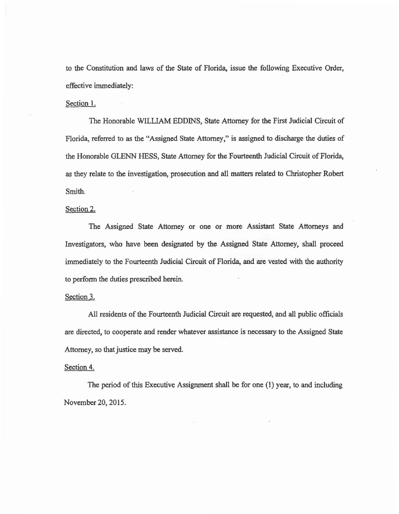to the Constitution and laws of the State of Florida, issue the following Executive Order, effective immediately:

#### Section 1.

The Honorable WILLIAM EDDINS, State Attorney for the First Judicial Circuit of Florida, referred to as the "Assigned State Attorney," is assigned to discharge the duties of the Honorable GLENN HESS, State Attorney for the Fourteenth Judicial Circuit of Florida, as they relate to the investigation, prosecution and all matters related to Christopher Robert Smith.

### Section 2.

The Assigned State Attorney or one or more Assistant State Attorneys and Investigators, who have been designated by the Assigned State Attorney, shall proceed immediately to the Fourteenth Judicial Circuit of Florida, and are vested with the authority to perform the duties prescribed herein.

## Section 3.

All residents of the Fourteenth Judicial Circuit are requested, and all public officials are directed, to cooperate and render whatever assistance is necessary to the Assigned State Attorney, so that justice may be served.

## Section 4.

The period of this Executive Assignment shall be for one (1) year, to and including November 20, 2015.